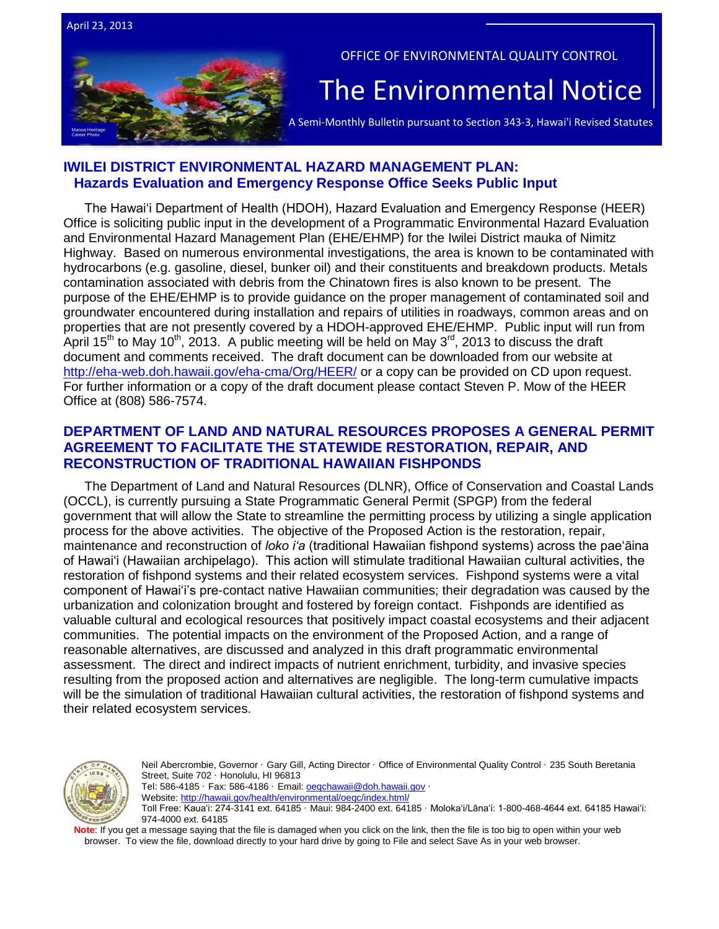



OFFICE OF ENVIRONMENTAL QUALITY CONTROL

# The Environmental Notice  $|$ <br>A Semi-Monthly Bulletin pursuant to Section 343-3, Hawai'i Revised Statutes

## **IWILEI DISTRICT ENVIRONMENTAL HAZARD MANAGEMENT PLAN: Hazards Evaluation and Emergency Response Office Seeks Public Input**

The Hawaiʻi Department of Health (HDOH), Hazard Evaluation and Emergency Response (HEER) Office is soliciting public input in the development of a Programmatic Environmental Hazard Evaluation and Environmental Hazard Management Plan (EHE/EHMP) for the Iwilei District mauka of Nimitz Highway. Based on numerous environmental investigations, the area is known to be contaminated with hydrocarbons (e.g. gasoline, diesel, bunker oil) and their constituents and breakdown products. Metals contamination associated with debris from the Chinatown fires is also known to be present. The purpose of the EHE/EHMP is to provide guidance on the proper management of contaminated soil and groundwater encountered during installation and repairs of utilities in roadways, common areas and on properties that are not presently covered by a HDOH-approved EHE/EHMP. Public input will run from April 15<sup>th</sup> to May 10<sup>th</sup>, 2013. A public meeting will be held on May 3<sup>rd</sup>, 2013 to discuss the draft document and comments received. The draft document can be downloaded from our website at <http://eha-web.doh.hawaii.gov/eha-cma/Org/HEER/> or a copy can be provided on CD upon request. For further information or a copy of the draft document please contact Steven P. Mow of the HEER Office at (808) 586-7574.

# **DEPARTMENT OF LAND AND NATURAL RESOURCES PROPOSES A GENERAL PERMIT AGREEMENT TO FACILITATE THE STATEWIDE RESTORATION, REPAIR, AND RECONSTRUCTION OF TRADITIONAL HAWAIIAN FISHPONDS**

The Department of Land and Natural Resources (DLNR), Office of Conservation and Coastal Lands (OCCL), is currently pursuing a State Programmatic General Permit (SPGP) from the federal government that will allow the State to streamline the permitting process by utilizing a single application process for the above activities. The objective of the Proposed Action is the restoration, repair, maintenance and reconstruction of *loko iʻa* (traditional Hawaiian fishpond systems) across the paeʻāina of Hawaiʻi (Hawaiian archipelago). This action will stimulate traditional Hawaiian cultural activities, the restoration of fishpond systems and their related ecosystem services. Fishpond systems were a vital component of Hawaiʻi's pre-contact native Hawaiian communities; their degradation was caused by the urbanization and colonization brought and fostered by foreign contact. Fishponds are identified as valuable cultural and ecological resources that positively impact coastal ecosystems and their adjacent communities. The potential impacts on the environment of the Proposed Action, and a range of reasonable alternatives, are discussed and analyzed in this draft programmatic environmental assessment. The direct and indirect impacts of nutrient enrichment, turbidity, and invasive species resulting from the proposed action and alternatives are negligible. The long-term cumulative impacts will be the simulation of traditional Hawaiian cultural activities, the restoration of fishpond systems and their related ecosystem services.



Neil Abercrombie, Governor · Gary Gill, Acting Director · Office of Environmental Quality Control · 235 South Beretania Street, Suite 702 · Honolulu, HI 96813 Tel: 586-4185 · Fax: 586-4186 · Email[: oeqchawaii@doh.hawaii.gov](mailto:oeqchawaii@doh.hawaii.gov) · Website:<http://hawaii.gov/health/environmental/oeqc/index.html/> Toll Free: Kauaʻi: 274-3141 ext. 64185 · Maui: 984-2400 ext. 64185 · Molokaʻi/Lānaʻi: 1-800-468-4644 ext. 64185 Hawaiʻi: 974-4000 ext. 64185

**Note**: If you get a message saying that the file is damaged when you click on the link, then the file is too big to open within your web browser. To view the file, download directly to your hard drive by going to File and select Save As in your web browser.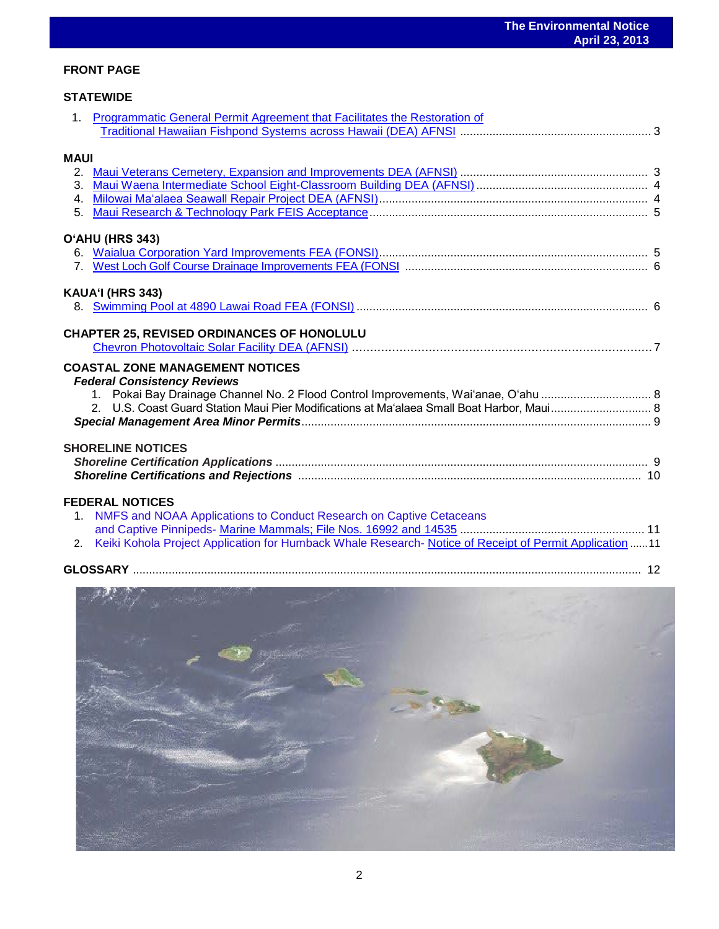## **FRONT PAGE**

## **STATEWIDE**

|                | 1. Programmatic General Permit Agreement that Facilitates the Restoration of                                                                                                                                                                                    |  |
|----------------|-----------------------------------------------------------------------------------------------------------------------------------------------------------------------------------------------------------------------------------------------------------------|--|
|                |                                                                                                                                                                                                                                                                 |  |
| <b>MAUI</b>    |                                                                                                                                                                                                                                                                 |  |
|                |                                                                                                                                                                                                                                                                 |  |
|                |                                                                                                                                                                                                                                                                 |  |
|                |                                                                                                                                                                                                                                                                 |  |
| 5 <sub>1</sub> |                                                                                                                                                                                                                                                                 |  |
|                | O'AHU (HRS 343)                                                                                                                                                                                                                                                 |  |
|                |                                                                                                                                                                                                                                                                 |  |
|                |                                                                                                                                                                                                                                                                 |  |
|                |                                                                                                                                                                                                                                                                 |  |
|                | KAUA'I (HRS 343)                                                                                                                                                                                                                                                |  |
|                |                                                                                                                                                                                                                                                                 |  |
|                | <b>COASTAL ZONE MANAGEMENT NOTICES</b><br><b>Federal Consistency Reviews</b><br>1. Pokai Bay Drainage Channel No. 2 Flood Control Improvements, Wai'anae, O'ahu  8<br>2. U.S. Coast Guard Station Maui Pier Modifications at Ma'alaea Small Boat Harbor, Maui 8 |  |
|                |                                                                                                                                                                                                                                                                 |  |
|                | <b>SHORELINE NOTICES</b>                                                                                                                                                                                                                                        |  |
|                |                                                                                                                                                                                                                                                                 |  |
|                | <b>FEDERAL NOTICES</b><br>1. NMFS and NOAA Applications to Conduct Research on Captive Cetaceans                                                                                                                                                                |  |
|                |                                                                                                                                                                                                                                                                 |  |
| 2.             | Keiki Kohola Project Application for Humback Whale Research- Notice of Receipt of Permit Application  11                                                                                                                                                        |  |
|                |                                                                                                                                                                                                                                                                 |  |

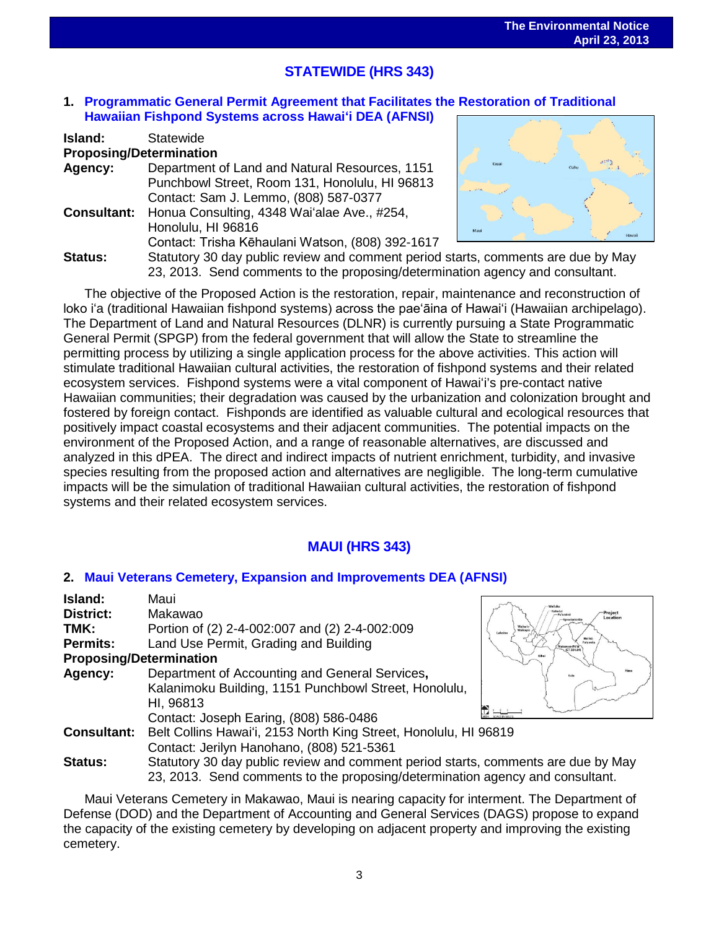# **STATEWIDE (HRS 343)**

## **1. Programmatic General Permit Agreement [that Facilitates the Restoration of Traditional](http://oeqc.doh.hawaii.gov/Shared%20Documents/EA_and_EIS_Online_Library/Statewide/2010s/2013-04-23-ST-5B-DEA-Programmatic-General-Permit-Agreement-for-Resoration-of-Fishponds.pdf)  [Hawaiian Fishpond Systems across Hawai](http://oeqc.doh.hawaii.gov/Shared%20Documents/EA_and_EIS_Online_Library/Statewide/2010s/2013-04-23-ST-5B-DEA-Programmatic-General-Permit-Agreement-for-Resoration-of-Fishponds.pdf)ʻi DEA (AFNSI)**

| Island:                        | Statewide                                                                         |                                 |
|--------------------------------|-----------------------------------------------------------------------------------|---------------------------------|
| <b>Proposing/Determination</b> |                                                                                   |                                 |
| Agency:                        | Department of Land and Natural Resources, 1151                                    | $\mathcal{L}^{(1)}$ ).<br>Kauai |
|                                | Punchbowl Street, Room 131, Honolulu, HI 96813                                    |                                 |
|                                | Contact: Sam J. Lemmo, (808) 587-0377                                             |                                 |
| <b>Consultant:</b>             | Honua Consulting, 4348 Wai'alae Ave., #254,                                       |                                 |
|                                | Honolulu, HI 96816                                                                | Maui<br>Hawaii                  |
|                                | Contact: Trisha Kēhaulani Watson, (808) 392-1617                                  |                                 |
| <b>Status:</b>                 | Statutory 30 day public review and comment period starts, comments are due by May |                                 |
|                                | 23, 2013. Send comments to the proposing/determination agency and consultant      |                                 |



23, 2013. Send comments to the proposing/determination agency and consultant. The objective of the Proposed Action is the restoration, repair, maintenance and reconstruction of loko iʻa (traditional Hawaiian fishpond systems) across the paeʻāina of Hawaiʻi (Hawaiian archipelago). The Department of Land and Natural Resources (DLNR) is currently pursuing a State Programmatic General Permit (SPGP) from the federal government that will allow the State to streamline the permitting process by utilizing a single application process for the above activities. This action will stimulate traditional Hawaiian cultural activities, the restoration of fishpond systems and their related ecosystem services. Fishpond systems were a vital component of Hawaiʻi's pre-contact native Hawaiian communities; their degradation was caused by the urbanization and colonization brought and fostered by foreign contact. Fishponds are identified as valuable cultural and ecological resources that positively impact coastal ecosystems and their adjacent communities. The potential impacts on the environment of the Proposed Action, and a range of reasonable alternatives, are discussed and analyzed in this dPEA. The direct and indirect impacts of nutrient enrichment, turbidity, and invasive

species resulting from the proposed action and alternatives are negligible. The long-term cumulative impacts will be the simulation of traditional Hawaiian cultural activities, the restoration of fishpond systems and their related ecosystem services.

# **MAUI (HRS 343)**

## **2. [Maui Veterans Cemetery, Expansion and Improvements](http://oeqc.doh.hawaii.gov/Shared%20Documents/EA_and_EIS_Online_Library/Maui/2010s/2013-04-23-MA-5B-DEA-Maui-Veterans-Cemetary-Expansion.pdf) DEA (AFNSI)**

| Island:            | Maui                                                                              |                                                           |
|--------------------|-----------------------------------------------------------------------------------|-----------------------------------------------------------|
|                    |                                                                                   | Kahului                                                   |
| District:          | Makawao                                                                           | Project<br>Location<br>-Pu'unéné<br>Spreckelsvi           |
| TMK:               | Portion of (2) 2-4-002:007 and (2) 2-4-002:009                                    | Waihe'e<br>Walkapi<br>Labaina                             |
| Permits:           | Land Use Permit, Grading and Building                                             | <b>Ha'ikú</b><br>Pa'uwela<br>Makawao-Pá'ia<br>(CT 304.04) |
|                    | <b>Proposing/Determination</b>                                                    |                                                           |
| Agency:            | Department of Accounting and General Services,                                    | Kula                                                      |
|                    | Kalanimoku Building, 1151 Punchbowl Street, Honolulu,                             |                                                           |
|                    | HI, 96813                                                                         |                                                           |
|                    | Contact: Joseph Earing, (808) 586-0486                                            |                                                           |
| <b>Consultant:</b> | Belt Collins Hawai'i, 2153 North King Street, Honolulu, HI 96819                  |                                                           |
|                    | Contact: Jerilyn Hanohano, (808) 521-5361                                         |                                                           |
| <b>Status:</b>     | Statutory 30 day public review and comment period starts, comments are due by May |                                                           |
|                    | 23, 2013. Send comments to the proposing/determination agency and consultant.     |                                                           |

Maui Veterans Cemetery in Makawao, Maui is nearing capacity for interment. The Department of Defense (DOD) and the Department of Accounting and General Services (DAGS) propose to expand the capacity of the existing cemetery by developing on adjacent property and improving the existing cemetery.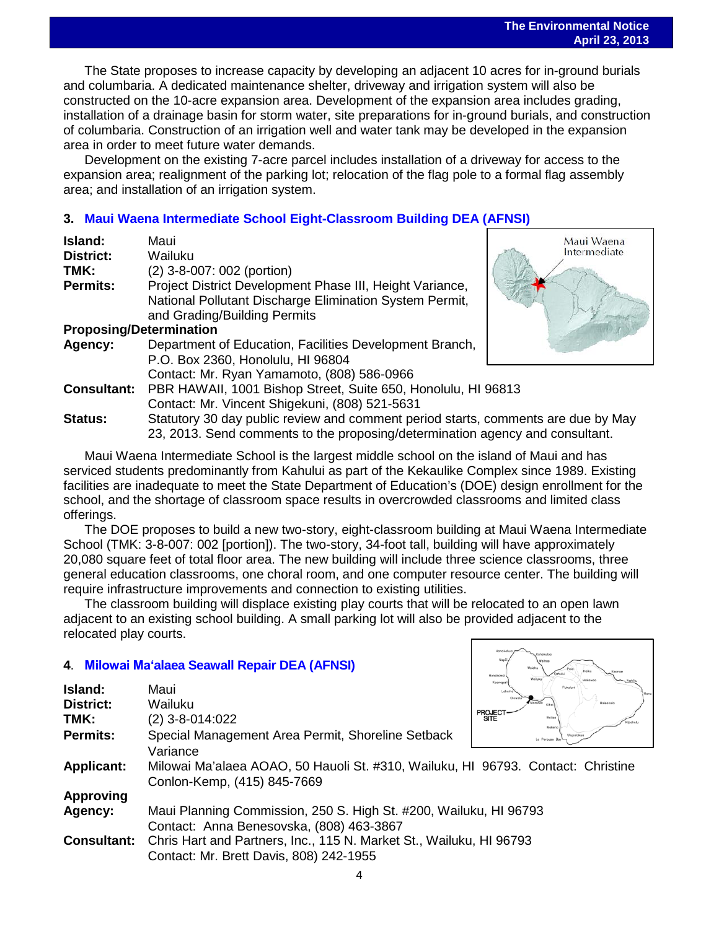The State proposes to increase capacity by developing an adjacent 10 acres for in-ground burials and columbaria. A dedicated maintenance shelter, driveway and irrigation system will also be constructed on the 10-acre expansion area. Development of the expansion area includes grading, installation of a drainage basin for storm water, site preparations for in-ground burials, and construction of columbaria. Construction of an irrigation well and water tank may be developed in the expansion area in order to meet future water demands.

Development on the existing 7-acre parcel includes installation of a driveway for access to the expansion area; realignment of the parking lot; relocation of the flag pole to a formal flag assembly area; and installation of an irrigation system.

# **3. [Maui Waena Intermediate School Eight-Classroom Building](http://oeqc.doh.hawaii.gov/Shared%20Documents/EA_and_EIS_Online_Library/Maui/2010s/2013-04-23-MA-5B-DEA-Maui-Waena-Intermediate-School-Eight-Classroom-Building.pdf) DEA (AFNSI)**

| Island:                        | Maui                                                                              | Maui Waena   |
|--------------------------------|-----------------------------------------------------------------------------------|--------------|
| District:                      | Wailuku                                                                           | Intermediate |
| TMK:                           | (2) 3-8-007: 002 (portion)                                                        |              |
| <b>Permits:</b>                | Project District Development Phase III, Height Variance,                          |              |
|                                | National Pollutant Discharge Elimination System Permit,                           |              |
|                                | and Grading/Building Permits                                                      |              |
| <b>Proposing/Determination</b> |                                                                                   |              |
| Agency:                        | Department of Education, Facilities Development Branch,                           |              |
|                                | P.O. Box 2360, Honolulu, HI 96804                                                 |              |
|                                | Contact: Mr. Ryan Yamamoto, (808) 586-0966                                        |              |
| <b>Consultant:</b>             | PBR HAWAII, 1001 Bishop Street, Suite 650, Honolulu, HI 96813                     |              |
|                                | Contact: Mr. Vincent Shigekuni, (808) 521-5631                                    |              |
| <b>Status:</b>                 | Statutory 30 day public review and comment period starts, comments are due by May |              |
|                                | 23, 2013. Send comments to the proposing/determination agency and consultant.     |              |

Maui Waena Intermediate School is the largest middle school on the island of Maui and has serviced students predominantly from Kahului as part of the Kekaulike Complex since 1989. Existing facilities are inadequate to meet the State Department of Education's (DOE) design enrollment for the school, and the shortage of classroom space results in overcrowded classrooms and limited class offerings.

The DOE proposes to build a new two-story, eight-classroom building at Maui Waena Intermediate School (TMK: 3-8-007: 002 [portion]). The two-story, 34-foot tall, building will have approximately 20,080 square feet of total floor area. The new building will include three science classrooms, three general education classrooms, one choral room, and one computer resource center. The building will require infrastructure improvements and connection to existing utilities.

The classroom building will displace existing play courts that will be relocated to an open lawn adjacent to an existing school building. A small parking lot will also be provided adjacent to the relocated play courts.

## **4**. **Milowai Maʻ[alaea Seawall Repair](http://oeqc.doh.hawaii.gov/Shared%20Documents/EA_and_EIS_Online_Library/Maui/2010s/2013-04-23-MA-5E-DEA-Milowai-Maalaea-Seawall-Repair.pdf) DEA (AFNSI)**

| 4. Milowai Ma'alaea Seawall Repair DEA (AFNSI)         |                                                                                                                             | Nopili<br>Honokowoj               | согузжитое<br>Wolehu              |
|--------------------------------------------------------|-----------------------------------------------------------------------------------------------------------------------------|-----------------------------------|-----------------------------------|
| Island:<br><b>District:</b><br>TMK:<br><b>Permits:</b> | Maui<br>Wailuku<br>$(2)$ 3-8-014:022<br>Special Management Area Permit, Shoreline Setback                                   | Koango<br>Loho<br>PROJECT<br>SITE | Walec<br>Mokeny<br>La Perouse Bay |
| <b>Applicant:</b>                                      | Variance<br>Milowai Ma'alaea AOAO, 50 Hauoli St. #310, Wailuku, HI 96793. Contact: Christine<br>Conlon-Kemp, (415) 845-7669 |                                   |                                   |
| <b>Approving</b>                                       |                                                                                                                             |                                   |                                   |
| Agency:                                                | Maui Planning Commission, 250 S. High St. #200, Wailuku, HI 96793<br>Contact: Anna Benesovska, (808) 463-3867               |                                   |                                   |
| <b>Consultant:</b>                                     | Chris Hart and Partners, Inc., 115 N. Market St., Wailuku, HI 96793<br>Contact: Mr. Brett Davis, 808) 242-1955              |                                   |                                   |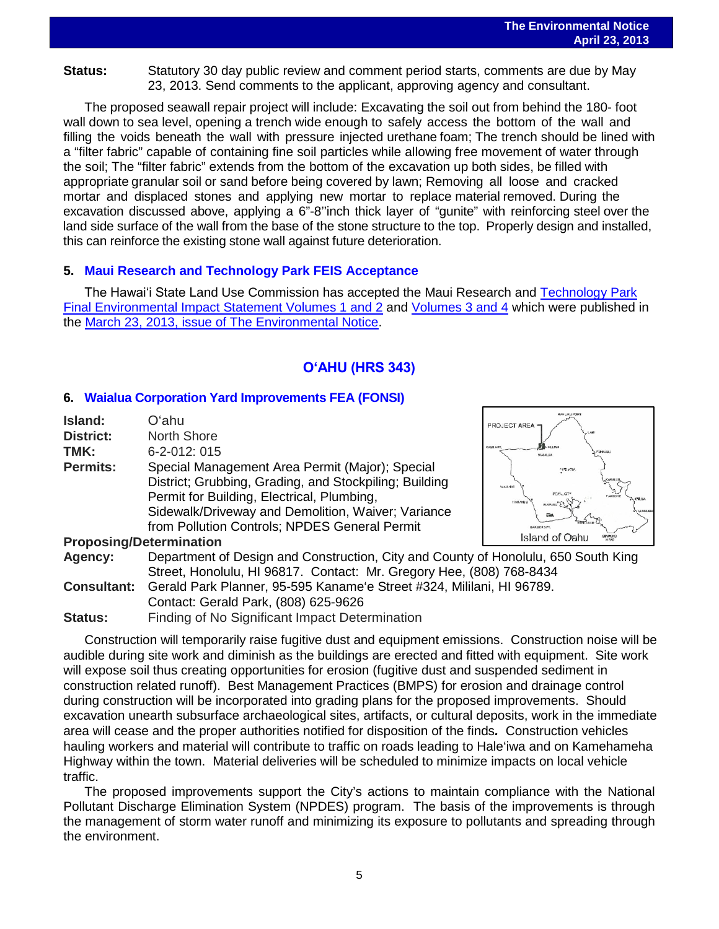**Status:** Statutory 30 day public review and comment period starts, comments are due by May 23, 2013. Send comments to the applicant, approving agency and consultant.

The proposed seawall repair project will include: Excavating the soil out from behind the 180- foot wall down to sea level, opening a trench wide enough to safely access the bottom of the wall and filling the voids beneath the wall with pressure injected urethane foam; The trench should be lined with a "filter fabric" capable of containing fine soil particles while allowing free movement of water through the soil; The "filter fabric" extends from the bottom of the excavation up both sides, be filled with appropriate granular soil or sand before being covered by lawn; Removing all loose and cracked mortar and displaced stones and applying new mortar to replace material removed. During the excavation discussed above, applying a 6"-8''inch thick layer of "gunite" with reinforcing steel over the land side surface of the wall from the base of the stone structure to the top. Properly design and installed, this can reinforce the existing stone wall against future deterioration.

## **5. [Maui Research and Technology Park FEIS Acceptance](http://oeqc.doh.hawaii.gov/Shared%20Documents/EA_and_EIS_Online_Library/Maui/2010s/2013-04-23-MA-5B-FEIS-Maui-Research-Technology-Park-Acceptance-by-Land-Use-Commission.pdf)**

The Hawaiʻi State Land Use Commission has accepted the Maui Research and [Technology Park](http://oeqc.doh.hawaii.gov/Shared%20Documents/EA_and_EIS_Online_Library/Maui/2010s/2013-03-23-MA-5E-FEIS-Maui-Research-and-Technology-Park-Volume-1-2.pdf)  [Final Environmental Impact Statement](http://oeqc.doh.hawaii.gov/Shared%20Documents/EA_and_EIS_Online_Library/Maui/2010s/2013-03-23-MA-5E-FEIS-Maui-Research-and-Technology-Park-Volume-1-2.pdf) Volumes 1 and 2 and [Volumes 3 and 4](http://oeqc.doh.hawaii.gov/Shared%20Documents/EA_and_EIS_Online_Library/Maui/2010s/2013-03-23-MA-5E-FEIS-Maui-Research-and-Technology-Park-Volume-3-4.pdf) which were published in the [March 23, 2013, issue of The Environmental Notice.](http://oeqc.doh.hawaii.gov/Shared%20Documents/Environmental_Notice/Archives/2010s/2013-03-23.pdf)

# **OʻAHU (HRS 343)**

## **6. [Waialua Corporation Yard Improvements](http://oeqc.doh.hawaii.gov/Shared%20Documents/EA_and_EIS_Online_Library/Oahu/2010s/2013-04-23-OA-5B-FEA-Waialua-Corporation-Yard-Improvements.pdf) FEA (FONSI)**

| Island:          | Oʻahu                                                  |
|------------------|--------------------------------------------------------|
| <b>District:</b> | <b>North Shore</b>                                     |
| TMK:             | 6-2-012: 015                                           |
| <b>Permits:</b>  | Special Management Area Permit (Major); Special        |
|                  | District; Grubbing, Grading, and Stockpiling; Building |
|                  | Permit for Building, Electrical, Plumbing,             |
|                  | Sidewalk/Driveway and Demolition, Waiver; Variance     |
|                  | from Pollution Controls; NPDES General Permit          |
|                  | <b>Proposing/Determination</b>                         |
| Agency:          | Department of Design and Construction, City and Cour   |
|                  |                                                        |



| <b>Agency:</b>     | Department of Design and Construction, City and County of Honolulu, 650 South King |
|--------------------|------------------------------------------------------------------------------------|
|                    | Street, Honolulu, HI 96817. Contact: Mr. Gregory Hee, (808) 768-8434               |
| <b>Consultant:</b> | Gerald Park Planner, 95-595 Kaname'e Street #324, Mililani, HI 96789.              |
|                    | Contact: Gerald Park, (808) 625-9626                                               |
| <b>Status:</b>     | Finding of No Significant Impact Determination                                     |

Construction will temporarily raise fugitive dust and equipment emissions. Construction noise will be audible during site work and diminish as the buildings are erected and fitted with equipment. Site work will expose soil thus creating opportunities for erosion (fugitive dust and suspended sediment in construction related runoff). Best Management Practices (BMPS) for erosion and drainage control during construction will be incorporated into grading plans for the proposed improvements. Should excavation unearth subsurface archaeological sites, artifacts, or cultural deposits, work in the immediate area will cease and the proper authorities notified for disposition of the finds*.* Construction vehicles hauling workers and material will contribute to traffic on roads leading to Hale'iwa and on Kamehameha Highway within the town. Material deliveries will be scheduled to minimize impacts on local vehicle traffic.

The proposed improvements support the City's actions to maintain compliance with the National Pollutant Discharge Elimination System (NPDES) program. The basis of the improvements is through the management of storm water runoff and minimizing its exposure to pollutants and spreading through the environment.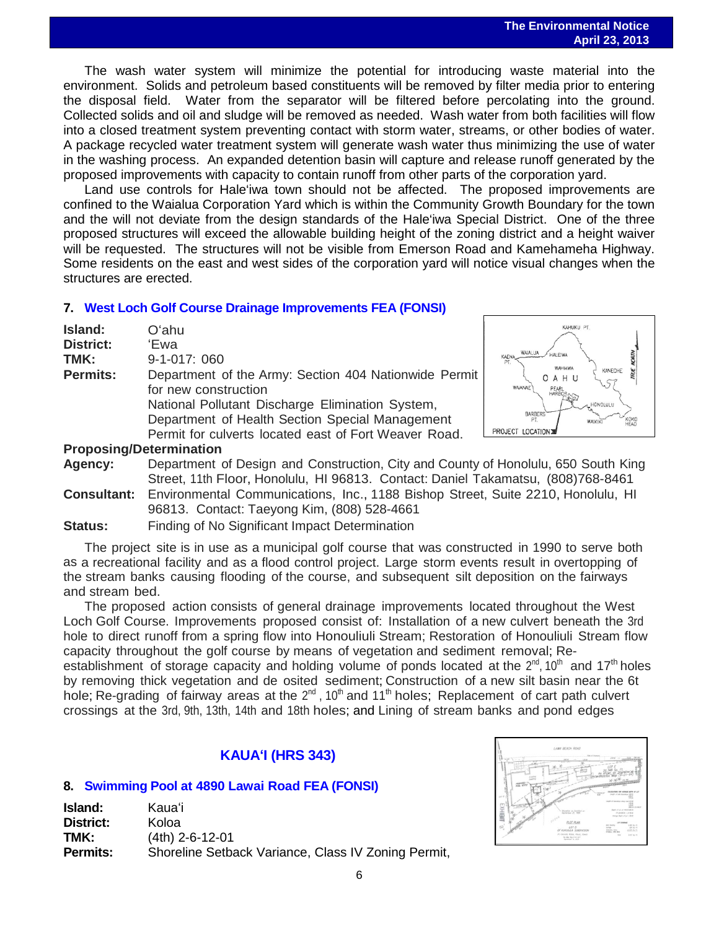The wash water system will minimize the potential for introducing waste material into the environment. Solids and petroleum based constituents will be removed by filter media prior to entering the disposal field. Water from the separator will be filtered before percolating into the ground. Collected solids and oil and sludge will be removed as needed. Wash water from both facilities will flow into a closed treatment system preventing contact with storm water, streams, or other bodies of water. A package recycled water treatment system will generate wash water thus minimizing the use of water in the washing process. An expanded detention basin will capture and release runoff generated by the proposed improvements with capacity to contain runoff from other parts of the corporation yard.

Land use controls for Hale'iwa town should not be affected. The proposed improvements are confined to the Waialua Corporation Yard which is within the Community Growth Boundary for the town and the will not deviate from the design standards of the Hale'iwa Special District. One of the three proposed structures will exceed the allowable building height of the zoning district and a height waiver will be requested. The structures will not be visible from Emerson Road and Kamehameha Highway. Some residents on the east and west sides of the corporation yard will notice visual changes when the structures are erected.

## **7. [West Loch Golf Course Drainage Improvements](http://oeqc.doh.hawaii.gov/Shared%20Documents/EA_and_EIS_Online_Library/Oahu/2010s/2013-04-23-OA-5B-FEA-West-Loch-Golf-Course-Drainage-Improvements.pdf) FEA (FONSI)**

| Island:          | Oʻahu                                                 |
|------------------|-------------------------------------------------------|
| <b>District:</b> | 'Ewa                                                  |
| TMK:             | 9-1-017: 060                                          |
| <b>Permits:</b>  | Department of the Army: Section 404 Nationwide Permit |
|                  | for new construction                                  |
|                  | National Pollutant Discharge Elimination System,      |
|                  | Department of Health Section Special Management       |
|                  | Permit for culverts located east of Fort Weaver Road. |
|                  |                                                       |



#### **Proposing/Determination**

**Agency:** Department of Design and Construction, City and County of Honolulu, 650 South King Street, 11th Floor, Honolulu, HI 96813. Contact: Daniel Takamatsu, (808)768-8461 **Consultant:** Environmental Communications, Inc., 1188 Bishop Street, Suite 2210, Honolulu, HI

- 96813. Contact: Taeyong Kim, (808) 528-4661
- **Status:** Finding of No Significant Impact Determination

The project site is in use as a municipal golf course that was constructed in 1990 to serve both as a recreational facility and as a flood control project. Large storm events result in overtopping of the stream banks causing flooding of the course, and subsequent silt deposition on the fairways and stream bed.

The proposed action consists of general drainage improvements located throughout the West Loch Golf Course. Improvements proposed consist of: Installation of a new culvert beneath the 3rd hole to direct runoff from a spring flow into Honouliuli Stream; Restoration of Honouliuli Stream flow capacity throughout the golf course by means of vegetation and sediment removal; Reestablishment of storage capacity and holding volume of ponds located at the  $2^{nd}$ , 10<sup>th</sup> and 17<sup>th</sup> holes by removing thick vegetation and de osited sediment; Construction of a new silt basin near the 6t hole; Re-grading of fairway areas at the  $2^{nd}$ , 10<sup>th</sup> and 11<sup>th</sup> holes; Replacement of cart path culvert crossings at the 3rd, 9th, 13th, 14th and 18th holes; and Lining of stream banks and pond edges

# **KAUAʻI (HRS 343)**

# **8. Swimming Pool [at 4890 Lawai Road](http://oeqc.doh.hawaii.gov/Shared%20Documents/EA_and_EIS_Online_Library/Kauai/2010s/2013-04-23-KA-5E-FEA-Swimming-Pool-at-4890-Lawai-Road.pdf) FEA (FONSI)**

| <b>Island:</b>  | Kauaʻi                                              |
|-----------------|-----------------------------------------------------|
| District:       | Koloa                                               |
| TMK:            | $(4th)$ 2-6-12-01                                   |
| <b>Permits:</b> | Shoreline Setback Variance, Class IV Zoning Permit, |

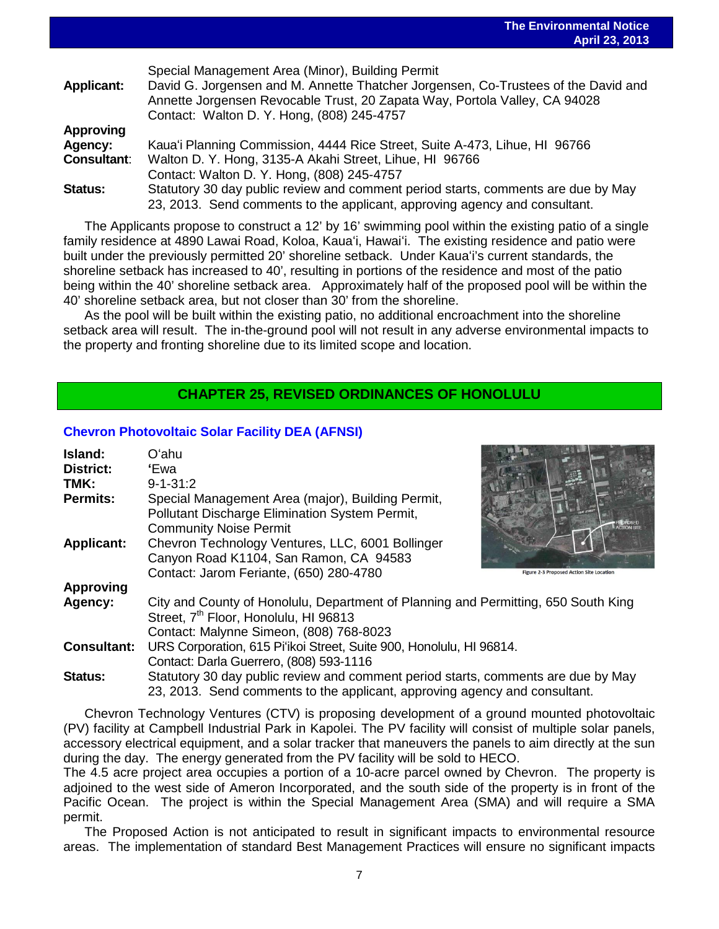**The Environmental Notice April 23, 2013**

|                             | $T1$ $T2$ $T3$ $T4$ $T5$                                                                                                                                                                                                                                           |
|-----------------------------|--------------------------------------------------------------------------------------------------------------------------------------------------------------------------------------------------------------------------------------------------------------------|
| <b>Applicant:</b>           | Special Management Area (Minor), Building Permit<br>David G. Jorgensen and M. Annette Thatcher Jorgensen, Co-Trustees of the David and<br>Annette Jorgensen Revocable Trust, 20 Zapata Way, Portola Valley, CA 94028<br>Contact: Walton D. Y. Hong, (808) 245-4757 |
| <b>Approving</b><br>Agency: | Kaua'i Planning Commission, 4444 Rice Street, Suite A-473, Lihue, HI 96766                                                                                                                                                                                         |
|                             |                                                                                                                                                                                                                                                                    |
| <b>Consultant:</b>          | Walton D. Y. Hong, 3135-A Akahi Street, Lihue, HI 96766                                                                                                                                                                                                            |
|                             | Contact: Walton D. Y. Hong, (808) 245-4757                                                                                                                                                                                                                         |
| <b>Status:</b>              | Statutory 30 day public review and comment period starts, comments are due by May                                                                                                                                                                                  |
|                             | 23, 2013. Send comments to the applicant, approving agency and consultant.                                                                                                                                                                                         |

The Applicants propose to construct a 12' by 16' swimming pool within the existing patio of a single family residence at 4890 Lawai Road, Koloa, Kauaʻi, Hawaiʻi. The existing residence and patio were built under the previously permitted 20' shoreline setback. Under Kauaʻi's current standards, the shoreline setback has increased to 40', resulting in portions of the residence and most of the patio being within the 40' shoreline setback area. Approximately half of the proposed pool will be within the 40' shoreline setback area, but not closer than 30' from the shoreline.

As the pool will be built within the existing patio, no additional encroachment into the shoreline setback area will result. The in-the-ground pool will not result in any adverse environmental impacts to the property and fronting shoreline due to its limited scope and location.

## **CHAPTER 25, REVISED ORDINANCES OF HONOLULU**

#### **[Chevron Photovoltaic Solar Facility](http://oeqc.doh.hawaii.gov/Shared%20Documents/EA_and_EIS_Online_Library/Non-343-EA-EIS-Documents-(SMA)/2013-04-23-OA-5E-Ch25-DEA-Chevron-Photovoltaic-Solar-Facility.pdf) DEA (AFNSI)**

| Island:            | Oʻahu                                                                                                                                                                              |
|--------------------|------------------------------------------------------------------------------------------------------------------------------------------------------------------------------------|
| District:          | 'Ewal                                                                                                                                                                              |
| TMK:               | $9 - 1 - 31:2$                                                                                                                                                                     |
| <b>Permits:</b>    | Special Management Area (major), Building Permit,<br>Pollutant Discharge Elimination System Permit,<br><b>Community Noise Permit</b>                                               |
| <b>Applicant:</b>  | Chevron Technology Ventures, LLC, 6001 Bollinger                                                                                                                                   |
|                    | Canyon Road K1104, San Ramon, CA 94583                                                                                                                                             |
|                    | Contact: Jarom Feriante, (650) 280-4780<br><b>Figure 2-3 Proposed Action Site Location</b>                                                                                         |
| <b>Approving</b>   |                                                                                                                                                                                    |
| Agency:            | City and County of Honolulu, Department of Planning and Permitting, 650 South King<br>Street, 7 <sup>th</sup> Floor, Honolulu, HI 96813<br>Contact: Malynne Simeon, (808) 768-8023 |
| <b>Consultant:</b> | URS Corporation, 615 Pi'ikoi Street, Suite 900, Honolulu, HI 96814.                                                                                                                |
|                    | Contact: Darla Guerrero, (808) 593-1116                                                                                                                                            |
| <b>Status:</b>     | Statutory 30 day public review and comment period starts, comments are due by May<br>23, 2013. Send comments to the applicant, approving agency and consultant.                    |

Chevron Technology Ventures (CTV) is proposing development of a ground mounted photovoltaic (PV) facility at Campbell Industrial Park in Kapolei. The PV facility will consist of multiple solar panels, accessory electrical equipment, and a solar tracker that maneuvers the panels to aim directly at the sun during the day. The energy generated from the PV facility will be sold to HECO.

The 4.5 acre project area occupies a portion of a 10-acre parcel owned by Chevron. The property is adjoined to the west side of Ameron Incorporated, and the south side of the property is in front of the Pacific Ocean. The project is within the Special Management Area (SMA) and will require a SMA permit.

The Proposed Action is not anticipated to result in significant impacts to environmental resource areas. The implementation of standard Best Management Practices will ensure no significant impacts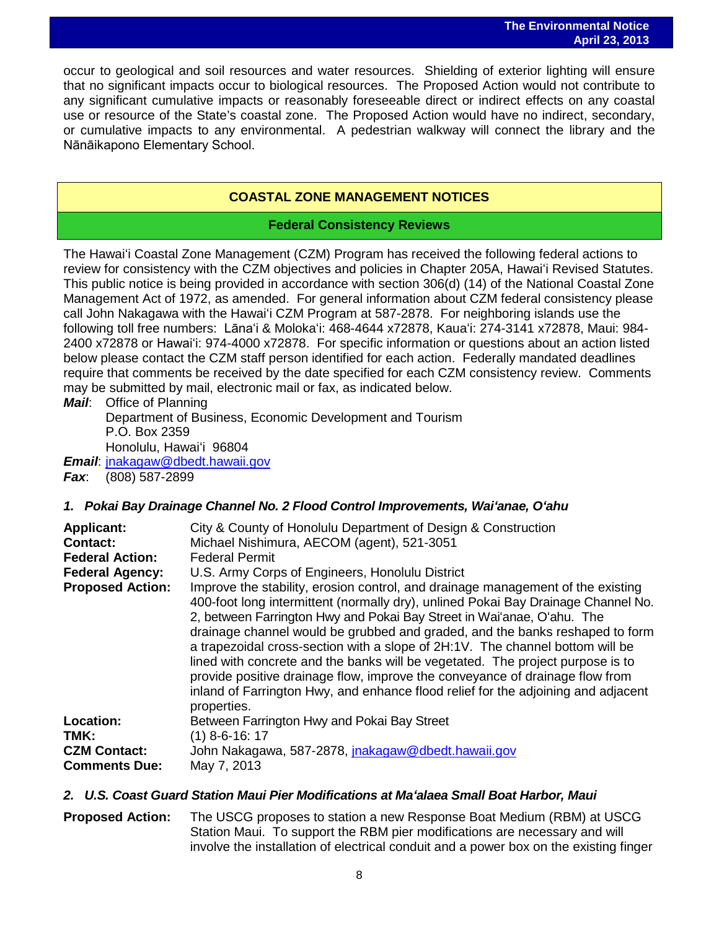occur to geological and soil resources and water resources. Shielding of exterior lighting will ensure that no significant impacts occur to biological resources. The Proposed Action would not contribute to any significant cumulative impacts or reasonably foreseeable direct or indirect effects on any coastal use or resource of the State's coastal zone. The Proposed Action would have no indirect, secondary, or cumulative impacts to any environmental. A pedestrian walkway will connect the library and the Nānāikapono Elementary School.

# **COASTAL ZONE MANAGEMENT NOTICES**

## **Federal Consistency Reviews**

The Hawaiʻi Coastal Zone Management (CZM) Program has received the following federal actions to review for consistency with the CZM objectives and policies in Chapter 205A, Hawaiʻi Revised Statutes. This public notice is being provided in accordance with section 306(d) (14) of the National Coastal Zone Management Act of 1972, as amended. For general information about CZM federal consistency please call John Nakagawa with the Hawaiʻi CZM Program at 587-2878. For neighboring islands use the following toll free numbers: Lānaʻi & Molokaʻi: 468-4644 x72878, Kauaʻi: 274-3141 x72878, Maui: 984- 2400 x72878 or Hawaiʻi: 974-4000 x72878. For specific information or questions about an action listed below please contact the CZM staff person identified for each action. Federally mandated deadlines require that comments be received by the date specified for each CZM consistency review. Comments may be submitted by mail, electronic mail or fax, as indicated below.

*Mail*: Office of Planning Department of Business, Economic Development and Tourism P.O. Box 2359 Honolulu, Hawaiʻi 96804

*Email*: [jnakagaw@dbedt.hawaii.gov](mailto:jnakagaw@dbedt.hawaii.gov) *Fax*: (808) 587-2899

## *1. Pokai Bay Drainage Channel No. 2 Flood Control Improvements, Waiʻanae, Oʻahu*

| <b>Applicant:</b><br>Contact:<br><b>Federal Action:</b><br><b>Federal Agency:</b><br><b>Proposed Action:</b> | City & County of Honolulu Department of Design & Construction<br>Michael Nishimura, AECOM (agent), 521-3051<br><b>Federal Permit</b><br>U.S. Army Corps of Engineers, Honolulu District<br>Improve the stability, erosion control, and drainage management of the existing<br>400-foot long intermittent (normally dry), unlined Pokai Bay Drainage Channel No.<br>2, between Farrington Hwy and Pokai Bay Street in Wai'anae, O'ahu. The<br>drainage channel would be grubbed and graded, and the banks reshaped to form<br>a trapezoidal cross-section with a slope of 2H:1V. The channel bottom will be<br>lined with concrete and the banks will be vegetated. The project purpose is to<br>provide positive drainage flow, improve the conveyance of drainage flow from<br>inland of Farrington Hwy, and enhance flood relief for the adjoining and adjacent<br>properties. |
|--------------------------------------------------------------------------------------------------------------|----------------------------------------------------------------------------------------------------------------------------------------------------------------------------------------------------------------------------------------------------------------------------------------------------------------------------------------------------------------------------------------------------------------------------------------------------------------------------------------------------------------------------------------------------------------------------------------------------------------------------------------------------------------------------------------------------------------------------------------------------------------------------------------------------------------------------------------------------------------------------------|
| Location:                                                                                                    | Between Farrington Hwy and Pokai Bay Street                                                                                                                                                                                                                                                                                                                                                                                                                                                                                                                                                                                                                                                                                                                                                                                                                                      |
| TMK:                                                                                                         | $(1)$ 8-6-16: 17                                                                                                                                                                                                                                                                                                                                                                                                                                                                                                                                                                                                                                                                                                                                                                                                                                                                 |
| <b>CZM Contact:</b>                                                                                          | John Nakagawa, 587-2878, jnakagaw@dbedt.hawaii.gov                                                                                                                                                                                                                                                                                                                                                                                                                                                                                                                                                                                                                                                                                                                                                                                                                               |
| <b>Comments Due:</b>                                                                                         | May 7, 2013                                                                                                                                                                                                                                                                                                                                                                                                                                                                                                                                                                                                                                                                                                                                                                                                                                                                      |

## *2. U.S. Coast Guard Station Maui Pier Modifications at Maʻalaea Small Boat Harbor, Maui*

**Proposed Action:** The USCG proposes to station a new Response Boat Medium (RBM) at USCG Station Maui. To support the RBM pier modifications are necessary and will involve the installation of electrical conduit and a power box on the existing finger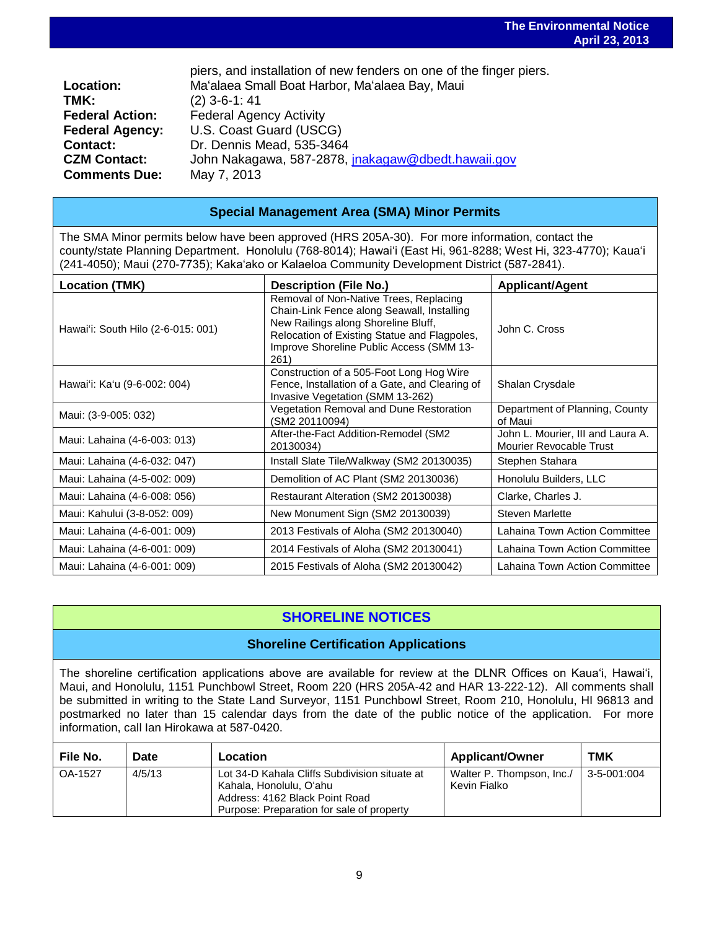| Location:              | piers, and installation of new fenders on one of the finger piers.<br>Ma'alaea Small Boat Harbor, Ma'alaea Bay, Maui |
|------------------------|----------------------------------------------------------------------------------------------------------------------|
| TMK:                   | $(2)$ 3-6-1: 41                                                                                                      |
| <b>Federal Action:</b> | <b>Federal Agency Activity</b>                                                                                       |
| <b>Federal Agency:</b> | U.S. Coast Guard (USCG)                                                                                              |
| <b>Contact:</b>        | Dr. Dennis Mead, 535-3464                                                                                            |
| <b>CZM Contact:</b>    | John Nakagawa, 587-2878, jnakagaw@dbedt.hawaii.gov                                                                   |
| <b>Comments Due:</b>   | May 7, 2013                                                                                                          |
|                        |                                                                                                                      |

## **Special Management Area (SMA) Minor Permits**

The SMA Minor permits below have been approved (HRS 205A-30). For more information, contact the county/state Planning Department. Honolulu (768-8014); Hawaiʻi (East Hi, 961-8288; West Hi, 323-4770); Kauaʻi (241-4050); Maui (270-7735); Kakaʻako or Kalaeloa Community Development District (587-2841).

| Location (TMK)                     | <b>Description (File No.)</b>                                                                                                                                                                                                   | <b>Applicant/Agent</b>                                       |
|------------------------------------|---------------------------------------------------------------------------------------------------------------------------------------------------------------------------------------------------------------------------------|--------------------------------------------------------------|
| Hawai'i: South Hilo (2-6-015: 001) | Removal of Non-Native Trees, Replacing<br>Chain-Link Fence along Seawall, Installing<br>New Railings along Shoreline Bluff,<br>Relocation of Existing Statue and Flagpoles,<br>Improve Shoreline Public Access (SMM 13-<br>261) | John C. Cross                                                |
| Hawai'i: Ka'u (9-6-002: 004)       | Construction of a 505-Foot Long Hog Wire<br>Fence, Installation of a Gate, and Clearing of<br>Invasive Vegetation (SMM 13-262)                                                                                                  | Shalan Crysdale                                              |
| Maui: (3-9-005: 032)               | Vegetation Removal and Dune Restoration<br>(SM2 20110094)                                                                                                                                                                       | Department of Planning, County<br>of Maui                    |
| Maui: Lahaina (4-6-003: 013)       | After-the-Fact Addition-Remodel (SM2<br>20130034)                                                                                                                                                                               | John L. Mourier, III and Laura A.<br>Mourier Revocable Trust |
| Maui: Lahaina (4-6-032: 047)       | Install Slate Tile/Walkway (SM2 20130035)                                                                                                                                                                                       | Stephen Stahara                                              |
| Maui: Lahaina (4-5-002: 009)       | Demolition of AC Plant (SM2 20130036)                                                                                                                                                                                           | Honolulu Builders, LLC                                       |
| Maui: Lahaina (4-6-008: 056)       | Restaurant Alteration (SM2 20130038)                                                                                                                                                                                            | Clarke, Charles J.                                           |
| Maui: Kahului (3-8-052: 009)       | New Monument Sign (SM2 20130039)                                                                                                                                                                                                | Steven Marlette                                              |
| Maui: Lahaina (4-6-001: 009)       | 2013 Festivals of Aloha (SM2 20130040)                                                                                                                                                                                          | Lahaina Town Action Committee                                |
| Maui: Lahaina (4-6-001: 009)       | 2014 Festivals of Aloha (SM2 20130041)                                                                                                                                                                                          | Lahaina Town Action Committee                                |
| Maui: Lahaina (4-6-001: 009)       | 2015 Festivals of Aloha (SM2 20130042)                                                                                                                                                                                          | Lahaina Town Action Committee                                |

# **SHORELINE NOTICES**

## **Shoreline Certification Applications**

The shoreline certification applications above are available for review at the DLNR Offices on Kauaʻi, Hawaiʻi, Maui, and Honolulu, 1151 Punchbowl Street, Room 220 (HRS 205A-42 and HAR 13-222-12). All comments shall be submitted in writing to the State Land Surveyor, 1151 Punchbowl Street, Room 210, Honolulu, HI 96813 and postmarked no later than 15 calendar days from the date of the public notice of the application. For more information, call Ian Hirokawa at 587-0420.

| File No. | Date   | Location                                                                                                                                                | <b>Applicant/Owner</b>                    | тмк         |
|----------|--------|---------------------------------------------------------------------------------------------------------------------------------------------------------|-------------------------------------------|-------------|
| OA-1527  | 4/5/13 | Lot 34-D Kahala Cliffs Subdivision situate at<br>Kahala, Honolulu, Oʻahu<br>Address: 4162 Black Point Road<br>Purpose: Preparation for sale of property | Walter P. Thompson, Inc./<br>Kevin Fialko | 3-5-001:004 |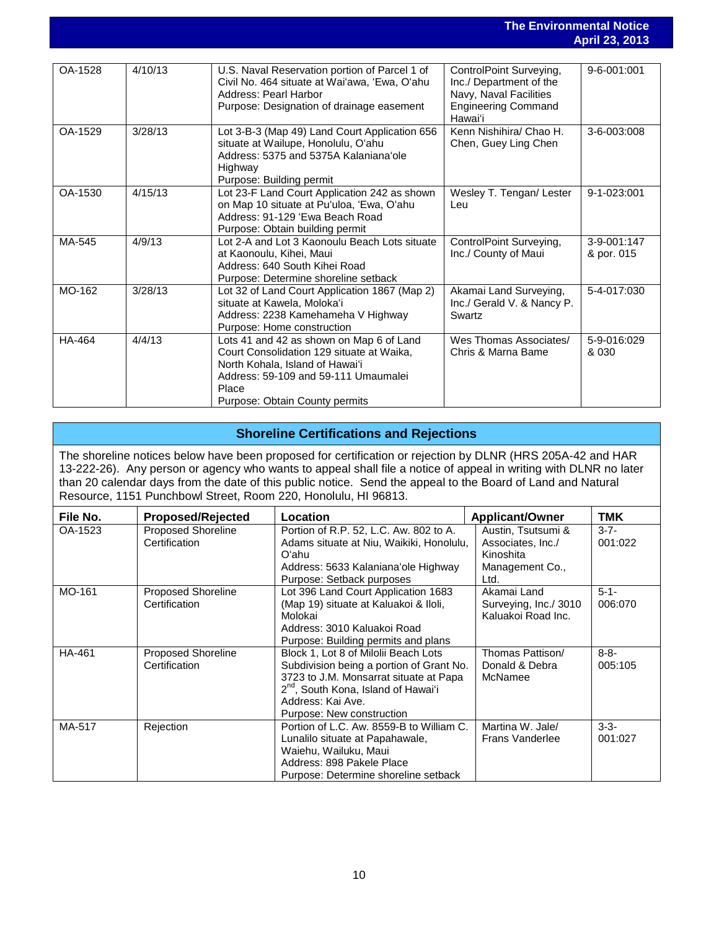#### **The Environmental Notice April 23, 2013**

|         |         |                                                                                                                                                                                                             |                                                                                                                       | טו טב וישר                |
|---------|---------|-------------------------------------------------------------------------------------------------------------------------------------------------------------------------------------------------------------|-----------------------------------------------------------------------------------------------------------------------|---------------------------|
|         |         |                                                                                                                                                                                                             |                                                                                                                       |                           |
| OA-1528 | 4/10/13 | U.S. Naval Reservation portion of Parcel 1 of<br>Civil No. 464 situate at Wai'awa, 'Ewa, O'ahu<br>Address: Pearl Harbor<br>Purpose: Designation of drainage easement                                        | ControlPoint Surveying,<br>Inc./ Department of the<br>Navy, Naval Facilities<br><b>Engineering Command</b><br>Hawai'i | 9-6-001:001               |
| OA-1529 | 3/28/13 | Lot 3-B-3 (Map 49) Land Court Application 656<br>situate at Wailupe, Honolulu, O'ahu<br>Address: 5375 and 5375A Kalaniana'ole<br>Highway<br>Purpose: Building permit                                        | Kenn Nishihira/ Chao H.<br>Chen, Guey Ling Chen                                                                       | 3-6-003:008               |
| OA-1530 | 4/15/13 | Lot 23-F Land Court Application 242 as shown<br>on Map 10 situate at Pu'uloa, 'Ewa, O'ahu<br>Address: 91-129 'Ewa Beach Road<br>Purpose: Obtain building permit                                             | Wesley T. Tengan/ Lester<br>Leu                                                                                       | 9-1-023:001               |
| MA-545  | 4/9/13  | Lot 2-A and Lot 3 Kaonoulu Beach Lots situate<br>at Kaonoulu, Kihei, Maui<br>Address: 640 South Kihei Road<br>Purpose: Determine shoreline setback                                                          | ControlPoint Surveying,<br>Inc./ County of Maui                                                                       | 3-9-001:147<br>& por. 015 |
| MO-162  | 3/28/13 | Lot 32 of Land Court Application 1867 (Map 2)<br>situate at Kawela, Moloka'i<br>Address: 2238 Kamehameha V Highway<br>Purpose: Home construction                                                            | Akamai Land Surveying,<br>Inc./ Gerald V. & Nancy P.<br>Swartz                                                        | 5-4-017:030               |
| HA-464  | 4/4/13  | Lots 41 and 42 as shown on Map 6 of Land<br>Court Consolidation 129 situate at Waika.<br>North Kohala, Island of Hawai'i<br>Address: 59-109 and 59-111 Umaumalei<br>Place<br>Purpose: Obtain County permits | Wes Thomas Associates/<br>Chris & Marna Bame                                                                          | 5-9-016:029<br>& 030      |

## **Shoreline Certifications and Rejections**

The shoreline notices below have been proposed for certification or rejection by DLNR (HRS 205A-42 and HAR 13-222-26). Any person or agency who wants to appeal shall file a notice of appeal in writing with DLNR no later than 20 calendar days from the date of this public notice. Send the appeal to the Board of Land and Natural Resource, 1151 Punchbowl Street, Room 220, Honolulu, HI 96813.

| File No. | <b>Proposed/Rejected</b>                   | Location                                                                                                                                                                                                                        | <b>Applicant/Owner</b>                                                          | TMK                  |
|----------|--------------------------------------------|---------------------------------------------------------------------------------------------------------------------------------------------------------------------------------------------------------------------------------|---------------------------------------------------------------------------------|----------------------|
| OA-1523  | <b>Proposed Shoreline</b><br>Certification | Portion of R.P. 52, L.C. Aw. 802 to A.<br>Adams situate at Niu, Waikiki, Honolulu,<br>Oʻahu<br>Address: 5633 Kalaniana'ole Highway<br>Purpose: Setback purposes                                                                 | Austin, Tsutsumi &<br>Associates, Inc./<br>Kinoshita<br>Management Co.,<br>Ltd. | $3 - 7 -$<br>001:022 |
| MO-161   | Proposed Shoreline<br>Certification        | Lot 396 Land Court Application 1683<br>(Map 19) situate at Kaluakoi & Iloli,<br>Molokai<br>Address: 3010 Kaluakoi Road<br>Purpose: Building permits and plans                                                                   | Akamai Land<br>Surveying, Inc./ 3010<br>Kaluakoi Road Inc.                      | $5 - 1 -$<br>006:070 |
| HA-461   | <b>Proposed Shoreline</b><br>Certification | Block 1, Lot 8 of Milolii Beach Lots<br>Subdivision being a portion of Grant No.<br>3723 to J.M. Monsarrat situate at Papa<br>2 <sup>nd</sup> , South Kona, Island of Hawai'i<br>Address: Kai Ave.<br>Purpose: New construction | Thomas Pattison/<br>Donald & Debra<br>McNamee                                   | $8 - 8 -$<br>005:105 |
| MA-517   | Rejection                                  | Portion of L.C. Aw. 8559-B to William C.<br>Lunalilo situate at Papahawale,<br>Waiehu, Wailuku, Maui<br>Address: 898 Pakele Place<br>Purpose: Determine shoreline setback                                                       | Martina W. Jale/<br>Frans Vanderlee                                             | $3-3-$<br>001:027    |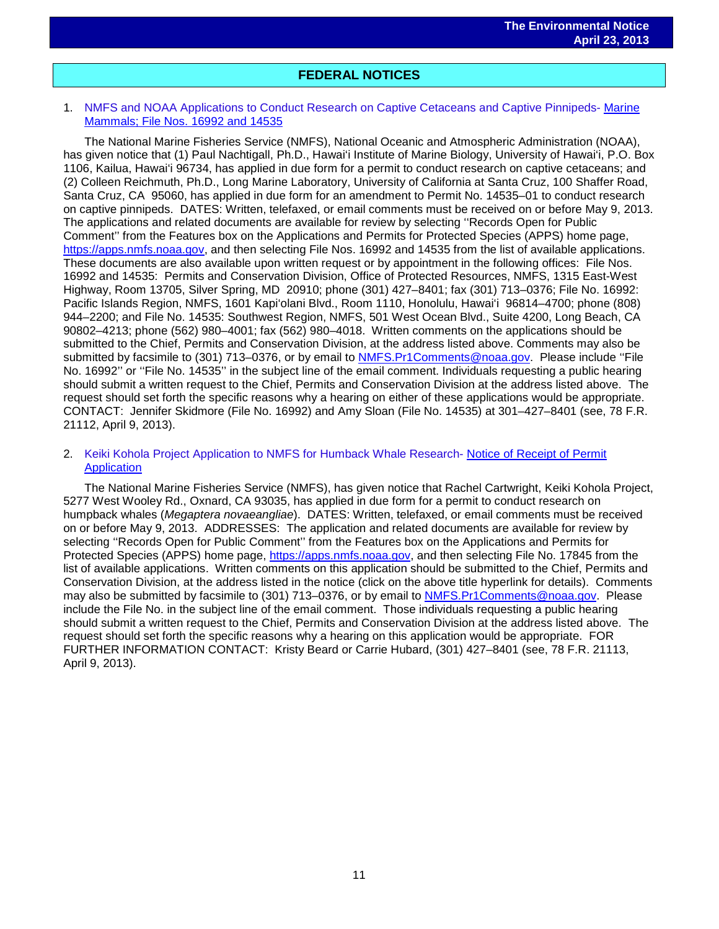# i<br>I **FEDERAL NOTICES**

#### 1. NMFS and NOAA Applications to Conduct Research on Captive Cetaceans and Captive Pinnipeds- [Marine](http://www.gpo.gov/fdsys/pkg/FR-2013-04-09/pdf/2013-08166.pdf)  [Mammals; File Nos. 16992 and 14535](http://www.gpo.gov/fdsys/pkg/FR-2013-04-09/pdf/2013-08166.pdf)

The National Marine Fisheries Service (NMFS), National Oceanic and Atmospheric Administration (NOAA), has given notice that (1) Paul Nachtigall, Ph.D., Hawai'i Institute of Marine Biology, University of Hawai'i, P.O. Box 1106, Kailua, Hawai'i 96734, has applied in due form for a permit to conduct research on captive cetaceans; and (2) Colleen Reichmuth, Ph.D., Long Marine Laboratory, University of California at Santa Cruz, 100 Shaffer Road, Santa Cruz, CA 95060, has applied in due form for an amendment to Permit No. 14535–01 to conduct research on captive pinnipeds. DATES: Written, telefaxed, or email comments must be received on or before May 9, 2013. The applications and related documents are available for review by selecting ''Records Open for Public Comment'' from the Features box on the Applications and Permits for Protected Species (APPS) home page, [https://apps.nmfs.noaa.gov,](https://apps.nmfs.noaa.gov/) and then selecting File Nos. 16992 and 14535 from the list of available applications. These documents are also available upon written request or by appointment in the following offices: File Nos. 16992 and 14535: Permits and Conservation Division, Office of Protected Resources, NMFS, 1315 East-West Highway, Room 13705, Silver Spring, MD 20910; phone (301) 427–8401; fax (301) 713–0376; File No. 16992: Pacific Islands Region, NMFS, 1601 Kapi'olani Blvd., Room 1110, Honolulu, Hawai'i 96814–4700; phone (808) 944–2200; and File No. 14535: Southwest Region, NMFS, 501 West Ocean Blvd., Suite 4200, Long Beach, CA 90802–4213; phone (562) 980–4001; fax (562) 980–4018. Written comments on the applications should be submitted to the Chief, Permits and Conservation Division, at the address listed above. Comments may also be submitted by facsimile to (301) 713–0376, or by email to [NMFS.Pr1Comments@noaa.gov.](mailto:NMFS.Pr1Comments@noaa.gov) Please include "File No. 16992'' or ''File No. 14535'' in the subject line of the email comment. Individuals requesting a public hearing should submit a written request to the Chief, Permits and Conservation Division at the address listed above. The request should set forth the specific reasons why a hearing on either of these applications would be appropriate. CONTACT: Jennifer Skidmore (File No. 16992) and Amy Sloan (File No. 14535) at 301–427–8401 (see, 78 F.R. 21112, April 9, 2013).

#### 2. Keiki Kohola Project Application to NMFS for Humback Whale Research- [Notice of Receipt of Permit](http://www.gpo.gov/fdsys/pkg/FR-2013-04-09/pdf/2013-08173.pdf)  **[Application](http://www.gpo.gov/fdsys/pkg/FR-2013-04-09/pdf/2013-08173.pdf)**

The National Marine Fisheries Service (NMFS), has given notice that Rachel Cartwright, Keiki Kohola Project, 5277 West Wooley Rd., Oxnard, CA 93035, has applied in due form for a permit to conduct research on humpback whales (*Megaptera novaeangliae*). DATES: Written, telefaxed, or email comments must be received on or before May 9, 2013. ADDRESSES: The application and related documents are available for review by selecting ''Records Open for Public Comment'' from the Features box on the Applications and Permits for Protected Species (APPS) home page, [https://apps.nmfs.noaa.gov,](https://apps.nmfs.noaa.gov/) and then selecting File No. 17845 from the list of available applications. Written comments on this application should be submitted to the Chief, Permits and Conservation Division, at the address listed in the notice (click on the above title hyperlink for details). Comments may also be submitted by facsimile to (301) 713–0376, or by email to [NMFS.Pr1Comments@noaa.gov.](mailto:NMFS.Pr1Comments@noaa.gov) Please include the File No. in the subject line of the email comment. Those individuals requesting a public hearing should submit a written request to the Chief, Permits and Conservation Division at the address listed above. The request should set forth the specific reasons why a hearing on this application would be appropriate. FOR FURTHER INFORMATION CONTACT: Kristy Beard or Carrie Hubard, (301) 427–8401 (see, 78 F.R. 21113, April 9, 2013).